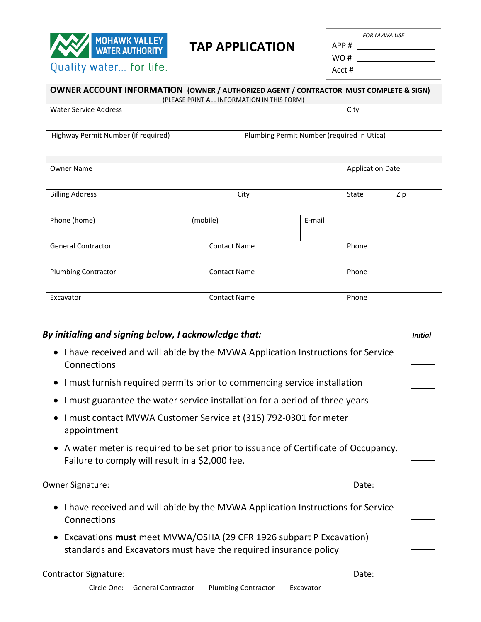

## **TAP APPLICATION**

*FOR MVWA USE*

APP #

WO # Acct #

|                                     |        | City                                        |                                                                                                                                                          |  |
|-------------------------------------|--------|---------------------------------------------|----------------------------------------------------------------------------------------------------------------------------------------------------------|--|
| Highway Permit Number (if required) |        |                                             |                                                                                                                                                          |  |
|                                     |        | <b>Application Date</b>                     |                                                                                                                                                          |  |
| City                                |        |                                             | Zip                                                                                                                                                      |  |
| (mobile)                            | E-mail |                                             |                                                                                                                                                          |  |
| <b>Contact Name</b>                 |        |                                             | Phone                                                                                                                                                    |  |
| <b>Contact Name</b>                 |        |                                             | Phone                                                                                                                                                    |  |
| <b>Contact Name</b>                 |        | Phone                                       |                                                                                                                                                          |  |
|                                     |        | (PLEASE PRINT ALL INFORMATION IN THIS FORM) | <b>OWNER ACCOUNT INFORMATION (OWNER / AUTHORIZED AGENT / CONTRACTOR MUST COMPLETE &amp; SIGN)</b><br>Plumbing Permit Number (required in Utica)<br>State |  |

## • I have received and will abide by the MVWA Application Instructions for Service **Connections**

- I must furnish required permits prior to commencing service installation
- I must guarantee the water service installation for a period of three years
- I must contact MVWA Customer Service at (315) 792-0301 for meter appointment
- A water meter is required to be set prior to issuance of Certificate of Occupancy. Failure to comply will result in a \$2,000 fee.

Owner Signature: Date:

- I have received and will abide by the MVWA Application Instructions for Service Connections
- Excavations **must** meet MVWA/OSHA (29 CFR 1926 subpart P Excavation) standards and Excavators must have the required insurance policy

| <b>Contractor Signature:</b> | Date: |
|------------------------------|-------|
|------------------------------|-------|